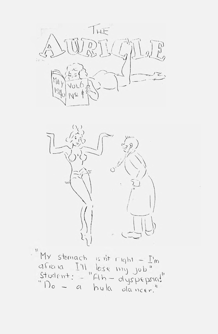THE  $M_4$ y



LIY SOMACH  $C \rightarrow C \cup C \quad [ \quad ]$ u e lity  $H/O - C$  $\frac{1}{2}$  i i i i q b i  $\frac{1}{2}$  $26$  *Will*  $10$   $5$  $\frac{1}{\sqrt{11}}$   $\frac{1}{\sqrt{11}}$  $\mu_{\perp i} = \alpha \wedge 2 \wedge \alpha \wedge p \wedge q$  $V$ <sup>1</sup> U clancer.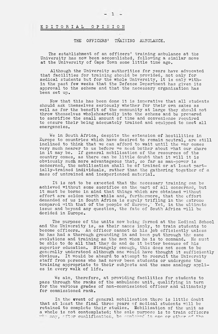# E D I T O R I A L O P I N I 0 N

# THE OFFICERS' TRAINING AMBULANCE.

The establishment of an officers' training ambulance at the University has now been accomolished, following a similar move at the University of Cape Town some little time ago.

Although the University authorities for years have advocated that facilities for training should be provided, not only for medical students but for the whole University, it is only within the past few weeks that the Defence Department has given its approval to the scheme and that the necessary organization has been set up.

Now that this has been done it is imperative that all students should ask themselves seriously whether for their own sakes as well as for the benefit of the community at large they should not throw themselves wholeheartedly into the scheme and be prepared to sacrifice the small amount of time and convenience required to ensure their being adequately trained and equipped to meet all emergencies.

We in South Africa, despite the extension of hostilities in Europe to countries which have desired to remain neutral, are still inclined to think that we can afford to wait until the war comes very much nearer to us before we need bother about what our share in it may be. If general mobilisation of the resources of the country comes, as there can be little doubt that it will it is obviously much more advantageous that, so far as man-power is concerned, the mobilisation shall be of trained or at least partially-trained individuals, rather than the gathering together of a mass of untrained and inexperienced material.

It is not to be exoected that the necessary training can be achieved without some sacrifice on the part of all concerned, but it must be borne in mind that things which are obtained without effort are seldom worth while and, furthermore, that the effort demanded of us in South Africa is surely trifling in the extreme compared with that of the people of Europe,' Yet, in the ultimate issue and beyond any question, the fate of South Africa will be decided in Europe..

The purpose of the units now being formed at the Medical School and the University is, as their names imply, to train students to become officers. An officer cannot do his job efficiently unless he has had a thorough grounding in and been put through the same evolutions and training as the men whom he is to command. He must be able to do all that they do and do it better because of his superior education. Strangely enough, this does not seem to be generally understood although one would have thought it sufficiently obvious. It would be absurd to attempt to recruit the University staff from persons who had never been students or undergone the training appropriate to their subjects and the same analogy applies in every walk of life.

We aim, therefore, at providing facilities for students to pass through the ranks of the ambulance unit, qualifying in turn for the various grades of non-commissioned officer and ultimately for commissioned rank.

In the event of general mobilisation there is little doubt that at least the final three years of medical students will be retained to complete their studies. Mobilisation of the unit as a whole is not contemplated; the sole purpose is to train officers  $^{\circ}$  may, after cualification, be employed in one or other of the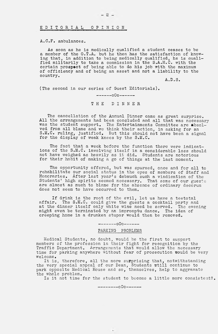EDITORIAL OPINION

A.C.F. ambulances.

As soon as he is medically qualified a student ceases to be a member of the O.T.A. but he then has the satisfaction of knowing that, in addition to being medically qualified, he is qualified militarily to take a commission in the S.A.M.C. with the certain prospect of being able to do his job with the maximum of officiency and of being an asset and not a liability to the country.

A.D.S.

(The second in our series of Guest Editorials).

----- 0O0------

T H E DINNER

The cancellation of the Annual Dinner came as great surprise. All the arrangements had been conqluded and all that was necessary was the student support. The Entertainments Committee are absolved from all blame and we think their action, in asking for an S.M.C. ruling, justified. But this should not have been a signal for the display of weak knees by the S.M.C.

The fact that a week before the function there were indications of the S.M.C. involving itself in a considerable loss should not have weighed as heavily as it did. Students are notorious for their habit of making a go of things at the last moment.

The opportunity offered, but was spurned, once and for all to rehabilitate our social status in the eyes of members of Staff and Honoraries. After last year's debauch such a vindication of the Students' high spirits seemed necessary. That some of our guests are almost as much to blame for the absence of ordinary decorum does not seem to have occurred to them.

If drink is the root of the evil, let us have a teetotal affair. The S.M.C. could give the guests a cocktail party and at the dinner itself only white wine need be served. The evening might even be terminated by an impromptu dance. The idea of creeping home in a drunken stupor would then be removed.

------ 0O0------

### PARKING PROBLEMS

Medical Students, no doubt, would be the first to support members of the profession in their fight for recognition by the Traffic Department. Arrangements that would allow the necessary time for parking anywhere without fear of prosecution would be very welcome•

It is, therefore, all the more surprising that, notwithstanding the very special appeal of our Dean, Students wtill continue to park opposite Medical House and so, themselves, help to aggravate the whole problem.

Is it not time for the student to become a little more consistent?.

---------000-------

 $\bullet$ 

 $-2-$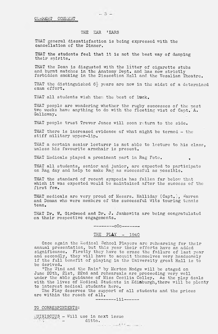$-3 -$ 

## THE EAR 'EARS

THAT general dissatisfaction is being expressed with the cancellation of the Dinner.

THAT the students feel that it is not the best way of damping their spirits,

THAT the Dean is disgusted with the litter of cigarette stubs and burnt matches in the Anatomy Dept, and has now strictly forbidden smoking in the Dissection Hall and the Vesalian Theatre,

THAT the distinguished  $6\frac{1}{2}$  years are now in the midst of a determined exam effort,

THAT all students wish them the best of luck.

THAT people are wondering whether the rugby successes of the past two weeks have anything to do with the fleeting vist of Capt.'A. Gallaway.

THAT people trust Trevor Jones will soon return to the side.

THAT there is increased evidence of what might be termed - the stiff military upper-lip,

THAT a certain senior lecturer is not able to lecture to his class, unless his favourite armchair is present,

THAT Medicals played a prominent part in Rag Fete.

THAT all students, senior and junior, are expected to participate on Rag day and help to make Rag as successful as possible.

THAT the standard of recent symposia has fallen far below that which it was expected would be maintained after the success of the first few.

THAT medicals are very proud of Messrs. Halliday (Capt.), Warren and Doman who were members of the successful Wits touring tennis team.

THAT Dr. W. Girdwood and Dr. J. Jankowitz are being congratulated on their respective engagements.

------- 0O0-------

# THE PLAY - 1940

Once again the Medical School Players arc rehearsing for their annual presentation, but this year their efforts have an added significance. Firstly they have to erase the failure of last year and secondly, they will have to acquit themselves very handsomely if the full benefit of playing in the University great Hall is to be derived,

"The Wind and the Rain" by Merton Hodge will be staged on June 20th, 21st, 22nd and rehearsals are proceeding very well under the able guidance of Miss Cecilia Colley. As the play deals with the lives of Medical Students in Edinburgh,there will be plenty to interest medical students here.

The Play deserves the support of all students and the prices are within the reach of all.

------- iii------

TO CORRESPONDENTS;

 $\sqrt{MUSCIUS}$  - Will use in next issue  $\mathbf{d}_{\mathbf{u}}$  ditto.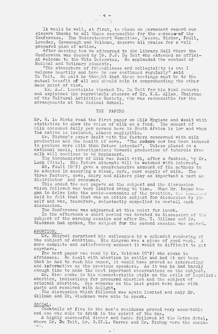It would be well, at first, to place on permanent record our sincere thanks to all those responsible for the success of the Conference. The Onderstepoort Committee, Messrs. Bishop, Foull, Loveday, Cavannagh and Veldman, deserve all praise for a well prepared plan of action.

 $^{\texttt{After morning}}$  tea we adjourned to the Library Hall where the Conference was opened by Dr. P.J. Du Toit who extended an official welcome to the Wits Delegates. He applauded the contact of Medical and Vetinary students.

"The atmosphere of friendliness and collegiality is one I welcome heartily and hope to see continued regularly" said Du Toit. He said he thought that these meetings must be to the mutual benefit off all and should help in comprehending the other mans point of view.

Mr. A.J. Leontsinis thanked Dr. Du Toit for his kind remarks and explained the regrettable absence of Mr. K.L. Allan, Chairman of the Cultural Activities Society, who was responsible for the arrangements at the Medical School.

### THE PAPERS

Mr. H. le  $\mathtt{Alice}$  read the first paper on Milk Hygiene and  $\mathtt{death}$  with statistics to show the value of milk as a food. The amount of milk consumed daily per person here in South Africa is low and when thd native is included, almost negligible.

Mr. Bishop's paper dealt with the factors concerned with milk production and the health of cows, "The modern cow has been Induced to produce more milk than Mature intended". Unless placed on a national basis, investigations towards production of tubercle free milk will continue to be haphazard.

The biochemistry of Milk was dealt with, after a fashion, by Mr, Luck (Wits). His future attempts will be watched with interest.

Mt. Foull (O'P) gave a comprehensive account of the methods to be adopted in assuring a clean, safe, pure supply of milk. The three factors, cows, dairy and milkers play as Important a part as distributor and consumer.

This ended the set papers on the subject and the discussion which followed was very limited owing to time. When Mr,. Kagan began to delve into the socio-economics of the position, the Chairman said he felt that that was an entire subject for discussion by itself and was, therefore, reluctantly compelled to curtail such discussion.

The Conference was adjourned at this point for lunch.

In the afternoon a short period was devoted to discussion of the subject of the morning session and after Mr. T. Gillman and Dr. Gluckman had spoken, the subject for the second session was opened,,

### ABORTION;

Mr. Shippel surprised his colleagues by a splendid rendering of the subject of Abortion. His diagram was a piece of good work,  $A^+$ more complete and satisfactory account it would be difficult to get anywhere.

The next paper was read by Mr, Veldman (O'P) who spoke in Afrikaans. He dealt with abortion in cattle and had it not been that he had to rush his paper, it would have proved as interesting and informative as the previous speakers. As it was he had barely enough time to make the most important observations on the subject,

Mr. Rice spoke in his characteristic style on the evils of legalisin abortion, indications for procured abortion and the subject of criminal abortion. His remarks on the last point were made with gusto and received with delight,

The discussion which followed was again limited and only Mr.  $\blacksquare$ Gillman and Dr. Gluckman were able to speak.

### SOCIAL;

Cocktails at five in the men's residence proved very acceptable and one was able to drink in the spirit of the day.

A highly successful dinner and dance followed at the Metro Hotel, where  $\overrightarrow{Dr}$ . Du Toit, Mr. G.ST.L. Warren and Mr. Bishop were the speak-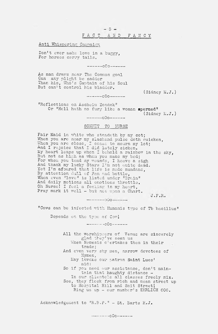# Anti Whispering Campaign

Don't ever make love in a buggy, For horses carry tails.

----- oCo-----

As man draws near The Common goal Can any plight be sadder Than his, Who's Captain of his Soul But can't control his bladder.

(Sidney M.J.)

# $----- 000---$

"Reflections on Ascheim Zondek" Or "Hell hath no fury like a woman spermed"

(Sidney M.J,)

# SONNET TO NURSE

----- oOo------

Fair Maid in white who standeth by my cot; When you are near my slackend pulse doth quicken, When you are close, I cease to mourn my lot; Ana I rejoice that I did lately sicken. My heart leaps up when I behold a rainbow in the sky, But not as high as when you make my bed; For when you tend my wounds, I heave a sigh And thank my lucky Stars I'm not quite dead. Yet I'm afoared that life is made mundane, By attention dull of Fan and bottle, When even "love" is listed under "Brain" And daily motions all emotions throttle. Oh Nurse! I feel a feeling in my heart, Pray mark it well - but not upon a Chart.

 $J.F.R.$ 

"Cows can be infected with Humanis type of Tb bacillus"

Depends on the type of Cowl

## $------ 000------$

All the worshippers of Venus are sincerely glad they've seen us When Nemesis o'ertakes them in their trade; And even very shy men, narrow devotees of Hymen, May invoke our patron Saint Lues' aid: So if you need our assistance, don't maintain that haughty distance -In our clientele all classes freely mix. See, they flock from rich and mean street up to Hospital Hill and Smit Street! Ring us up - our number's EHRLICH 606.

Acknowledgement to "R.B.P." - St. Barts H.J.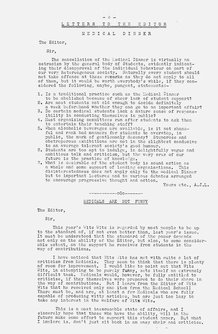# $\circ$   $-$ L E T T E R S TO T H E E D I T O R **MEDICAL DINNER**

The Editor,

Sir,

The cancellation of the Medical Dinner is virtually an ostracism by the general body of Students, evidently indicating their disapproval of the individual behaviour on part of our very hetereogenous society. Naturally every student should not take offence at these remarks as they do not apply to all of them, but it would be worth everybody's while, if they considered the following, maybe, pungent, statements:-

- 1. Is a traditional practice such as the Medical Dinner to be abolished because of sheer lack of student support?
- 2. Are most students not old enough to decide definitely a week beforehand whether they can go to an important affair?
- 3. Do certain medical students lack a mature sense of responsibility in conducting themselves in public?
- 4. Must organizing committees run after students to ask them to entertain their teaching staff?
- 5. When alcoholic beverages are available, is it not shameful and rank bad manners for students to overstep, in public, the mark of gentlemanly decency? Stuporose and obstreperous exhibitions are not in the slightest conducive to an average tolerant society's good humour.
- 6. Students are too apt to indulge, in delightfully vague and ambitious talk and criticism, but the very crux of our future is the practice of knowledge.
- 7. What is desirable of the student body is sound action as a whole and some support of leading organisations. This disinterestedness does not apply only to the Medical Dinner but to important lectures and to various debates arranged to encourage progressive thought and action.

Yours otc., A.J.L.

### ------ --- oOo-------

MEDICALS ARE NOT FUNNY

The Editor,

Sir,

This year's Wits Wits is regarded by most people to be up to the standard of, if not even better than, last year's issue. It must be understood that the standard of the paper depends not only on the ability of the Editor, but also, to some considerable extent, on the support he receives from students in the way of contributions.

I have noticed that Wits Wits has met with ouite a lot of criticism from Medicals. They seem to think that there is plenty of room for improvement. I would like to point out that Wits Wits, in attempting to be purely funny, sets itself an extremely difficult task. Medicals would, however, be fully entitled to criticise, if they themselves were prepared to do their share in the way of contributions, But I learn from the Editor of Wits Wits that he received only one item from the Medical School! There must be, and are, at least a few Medicals who are fully capable of producing witty articles, but are just too lazy to take any interest in the welfare of Wits Wits.

This is a most inexcusable state of affairs, and I sincerely hope that those who have the ability, will in the future make some effort to support this student paper. But what I implore is, don't just sit back in an easy chair and criticise.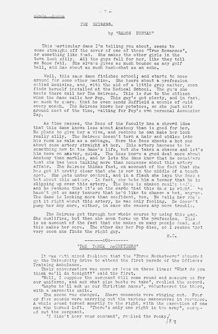### THE HEIRESS.

 $-7 -$ 

# by "RAMON DUNYAN"

This particular dame I'm telling you about, seems to come straight off the cover of one of those "True Romances", or something like that. She makes the other girls in the town look silly. All the guys fall for her, like they tell me Rome fell, She always gives as much bounce as any golf ball, and has about as much back-chat as ah echo.

Well, this same dame finishes school; and starts to nose around for some other pastime. She hears about a profession called Medicine, and, with the aid of a little grey matter, soon finds herself installed at the Medical School. The guys she meets there call her The Heiress. This is due to the citizen whom the dame calls her Pop. This guy's got plenty, and in fact, so much to spare, that he even sends  $\texttt{Nuffield}$  a couple of quid every month. The Heiress knows her potatoes, so she just sits around most of the time, waiting for Pop's own personal Ascension Day.

As time passes, the Boss of the Faculty has a shrewd idea that this dame knows less about Anatomy than is good for her, He plans to give her a viva, and reckons he can make her look really silly, The Heiress doesn't turn a hair and sidles into his room as calm as a cabbage. Here the Boss shoots a hot one about some artery straight at her. This artery happens to be something new in the dame's life, but she takes a chance and let's him have an answer, quick. The Boss knows a good deal more about Anatomy than marbles, and he lets the dame know that he considers tnat she has been talking more than nonsense about this artery affair. The Heiress thinks fast, on account of the fact that she has got it pretty clear that she is now in the middle of a tough spot. She gets under control, and in a flash she lays the Boss  $\varepsilon$ bet about this matter. In fact, she bets him a tenner that he is slipping up over this artery. The Boss is shaken really badly, and he reckons that it's on the cards that this dame is right. He hasn't got so many tenners that he'd like to chance a bet. anyway, The dame is looking more than confident, too. He tells her she's got it right about this artery, he was only fooling. He doesn't pump her any more, either, in case she causes any more trouble.

The Heiress get through her whole course by using this gag. She qualifies, but then she soon turns up the profession. This is on account of the fact that she makes so many people dead, and this makes her sore. The other day her Pop dies, sc I reckon that very soon she finds the right guy.

H.C.

# ---------000-------

# "THE THREE RACKETEERS"

It was with mixed feelings that the "Three Racketeers" slouched up the University drive to attend the first parade of the Officers Training Ambulance.

Their conversation was more or less on these lines: "What do you think we'll do tonight?" said the first.

"Well, I suppose the sergeant will come round and measure us for our uniforms, and ask what size boots we take", replied the second.

"Maybe he'll ask us our Christian names", volunteered the third, with a sarcastic smile.

The scene was changed. Sharp commands were ringing out. Four or five squads were carrying out the various manoeuvres in response. A whole scuad turned smartly to the right, with the exception of one man who turned left. "There's only one right in the army", snapp-"There's only one right in the army", snapped out the sergeant.

"I didn't hear your command", replied the rooky $\surd$ 

*h i*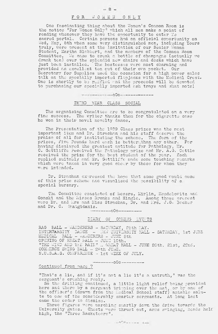# FOR WOMEN ONLY

 $-8 -$ 

One fascinating thing about the Women's Common Room is the notice "For Women Only" which all men make a point of reading whenever they have the opportunity to enter Yo sacred portal. Certain persons had an official opportunity on Wed. May, 8th when some very distinguished men, including Yours truly, were present at the invitation of our Senior Woman Student, Martha Slabbort, and the members of the Common Room Committee. We came to break a bottle of champagne (actually we drank tea) over the splendid new chairs and desks which have just been installed, The hostesses were most charming and provided an excellent tea cut of their own pocket. Our Secretary for Supplies used the occasion for a high power sales talk on the specially imported flapjacks with the Medical Crest, One is shortly to be raffled and the proceeds will be devoted to purchasing our specially imported ash trays and what note*l*

# THIRD YEAR CLASS SOCIAL

The organising Committee are to be congratulated on a very fine success. The writer thanks them for the cigarette case he won in their novel nevelty dance.

The Presentation of the 1039 Class prizes was the most important item and Dr. Strachan and his staff deserve the praise of all for instituting the scheme. The form of the prizes, Five Pounds hard cash is betternthan any other. For having displayed the greatest aptitude for Pathology, C. Gettliffe received the Pathology prize and Mr. A.G. received the prize for the best student of the year, Each replied suitably and Mr. Gettliffe made some touching remarks which were taken in very good cheer by those for whom they were intended. Mr, Oettle

Dr. Strachan expressed the hope that some good would come of this prize scheme and visualised special bursary. the possibility ox

The Committee consisted of Messrs. Mirlin, Mendelowitz and Gonski and the Misses Bronks and Hingle. Among those present were Dr. and Mrs and Miss Strachan, Dr. and Mrs. J.G. Becker and Dr. C. Chatgidakis.

------- oOo---------

# DIARY OF COMING- EVENTS

RAG- BALL — WANDERERS — SATURDAY, 25th MAY. INTERVARSITY DANCE - NEW UNIVERSITY HALL MEDICAL BALL - WANDERERS - JUNE 5th OPENING- OF HREAT HALL — JUNE 10th, "THE WIND AND THE RAIN" .. GREAT HALL - JUNE COMMERCE SWING BALL - 28th JUNE. N.U.S.A.S. CONFERENCE - 1st WEEK OF JULY. - SATURDAY, 1st JUNE 20th, 21st, 22nd,

------- O0o---------

# Continued from page 7

"That's a lie, and. if it's not a lie it's a untruth," was the sergeant's crushing reply.

So the drilling continued, a little light relief being provided here and there by a sergeant tripping over the mat, or by one of the officer's (drawn from the Medical School staff) amiable salute to one of the considerably smarter sergeants. At long last came the order to dismiss.

Three figures were marching smartly down the drive towards the University gates. Chests were thrust out, arms swinging, heads held high, the "Three Racketeers",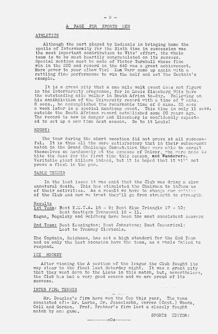# A PAGE FOR SPORTS MEN

#### ATHLETICS

Although the part played by Medicals in bringing home the spoils of Intervarsity for the Sixth time in succession was the most important contribution to Wits' effort, the whole team is to be most heartily congratulated on its success. Special mention must be made of Victor Turnbull whose fine win in the 220 and record in the 440 was a great achievement. More power to your elbow Vic! Ken Warr came up again with a rattling fine performance to win the half and set the Captain's example.

It is a great pity that a one mile walk event does not figure in the Intervarsity programme, for in Louis Eisenberg Wits have the outstanding mile walker in South Africa to-day. Following on his annihilation of the University record with a time of 7 mins, 8 secs., he accomplished the remarkable time of 6 mins. 55 secs a week later in a special handicap event. This time in only 11 secs, outside the South African record established some 20 years ago. The record is now in danger and Eisenberg is confidently expected to set up a new time next season. Go to it Louis!

#### RUGBY:

The tour during the short vacation did not prove at all successful. It is thus all the more satisfactory that in their subseouent match in the Grand Challenge Competition they were able to acouit themselves so handsomely at the expense of Unicor, who were made to bite the dust for the first time this season, and Wanderers. Veritable giant killers indeed, but it is hoped that it wi?l not prove a flash in the pan.

### TABLE TENNIS

In the last issue it was said that the Club was dying a slow unnatural death. This has stimulated the Chairman to inform us of their activities. As a result we have to change our opinion of the Club and now we trust they'll go from strength to strength..

### Results

 ${\tt 1st}$  Team: Beat Y.M.C.A. 18 - 9; Beat Blue Triangle 17 - 10; Beat Southern Transvaal 16 - 11.

Kagan, Rogalsky and Goldberg have been the most consistent scorers.

2nd Team: Beat Kensington; Beat Johnstone; Beat Commerical; Lost to Tramway Clericals.

The Captain, Reichman, has set a high standard for the 2nd Team and on only the last occasion have the team, as a whole failed to respond.

#### ICE HOCKEY

After winning the A section of the league the Club fought its way clear to the final last Saturday night. It was a great pity that they went down to the Lions in this match, but, nevertheless, the Club has had a very good season and we are proud of its success.

#### INTER FIRM TENNIS

The special side Mr. Douglas's firm have won the Cup this year. The team consisted of:- Mr. Lurie, Dr. Josselsohn, Warren (Capt.) 'Woods, Coll and Gordon. Prof. Brebner's firm lost a closely fought match by one game.

---------000------

SPORTS EDITOR:

 $\label{eq:3.1} \begin{array}{cccccc} \lambda\cdot\alpha & -\lambda\alpha & & \alpha\cdot\alpha \end{array}$